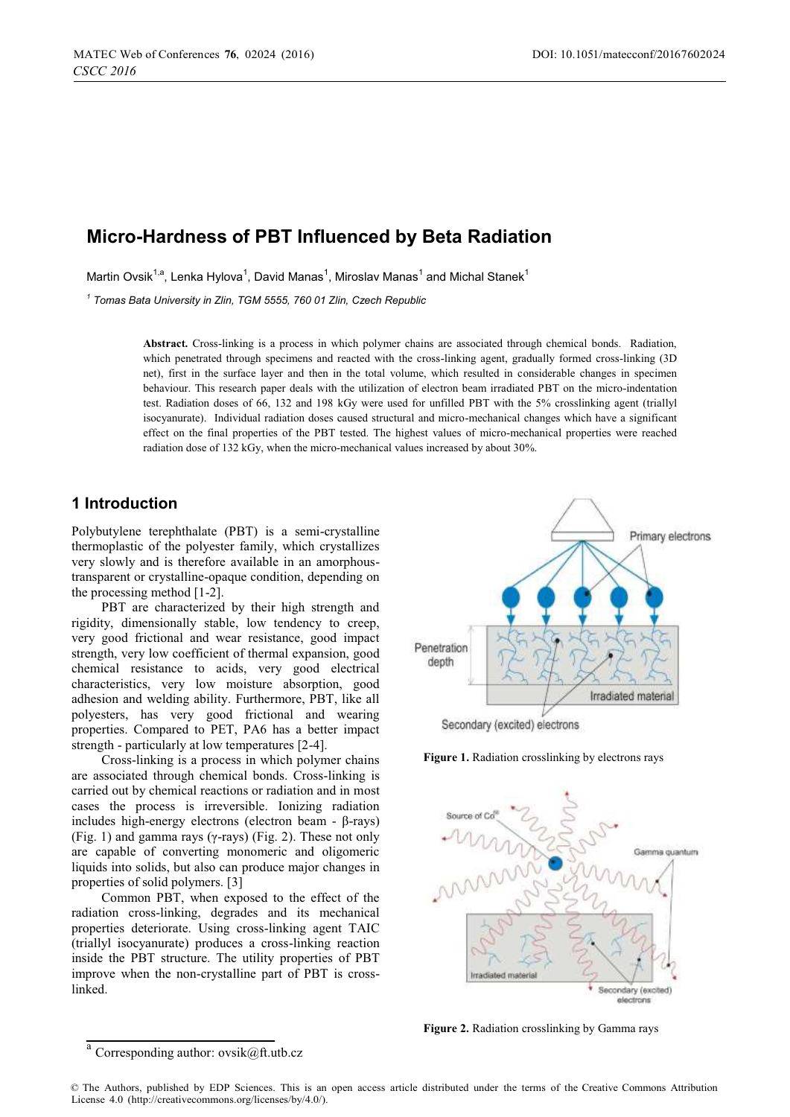# **Micro-Hardness of PBT Influenced by Beta Radiation**

Martin Ovsik<sup>1,a</sup>, Lenka Hylova<sup>1</sup>, David Manas<sup>1</sup>, Miroslav Manas<sup>1</sup> and Michal Stanek<sup>1</sup>

*1 Tomas Bata University in Zlin, TGM 5555, 760 01 Zlin, Czech Republic* 

**Abstract.** Cross-linking is a process in which polymer chains are associated through chemical bonds. Radiation, which penetrated through specimens and reacted with the cross-linking agent, gradually formed cross-linking (3D net), first in the surface layer and then in the total volume, which resulted in considerable changes in specimen behaviour. This research paper deals with the utilization of electron beam irradiated PBT on the micro-indentation test. Radiation doses of 66, 132 and 198 kGy were used for unfilled PBT with the 5% crosslinking agent (triallyl isocyanurate). Individual radiation doses caused structural and micro-mechanical changes which have a significant effect on the final properties of the PBT tested. The highest values of micro-mechanical properties were reached radiation dose of 132 kGy, when the micro-mechanical values increased by about 30%.

# **1 Introduction**

Polybutylene terephthalate (PBT) is a semi-crystalline thermoplastic of the polyester family, which crystallizes very slowly and is therefore available in an amorphoustransparent or crystalline-opaque condition, depending on the processing method [1-2].

PBT are characterized by their high strength and rigidity, dimensionally stable, low tendency to creep, very good frictional and wear resistance, good impact strength, very low coefficient of thermal expansion, good chemical resistance to acids, very good electrical characteristics, very low moisture absorption, good adhesion and welding ability. Furthermore, PBT, like all polyesters, has very good frictional and wearing properties. Compared to PET, PA6 has a better impact strength - particularly at low temperatures [2-4].

Cross-linking is a process in which polymer chains are associated through chemical bonds. Cross-linking is carried out by chemical reactions or radiation and in most cases the process is irreversible. Ionizing radiation includes high-energy electrons (electron beam - β-rays) (Fig. 1) and gamma rays ( $\gamma$ -rays) (Fig. 2). These not only are capable of converting monomeric and oligomeric liquids into solids, but also can produce major changes in properties of solid polymers. [3]

Common PBT, when exposed to the effect of the radiation cross-linking, degrades and its mechanical properties deteriorate. Using cross-linking agent TAIC (triallyl isocyanurate) produces a cross-linking reaction inside the PBT structure. The utility properties of PBT improve when the non-crystalline part of PBT is crosslinked.



**Figure 1.** Radiation crosslinking by electrons rays



**Figure 2.** Radiation crosslinking by Gamma rays

Corresponding author: ovsik@ft.utb.cz

<sup>©</sup> The Authors, published by EDP Sciences. This is an open access article distributed under the terms of the Creative Commons Attribution License 4.0 (http://creativecommons.org/licenses/by/4.0/).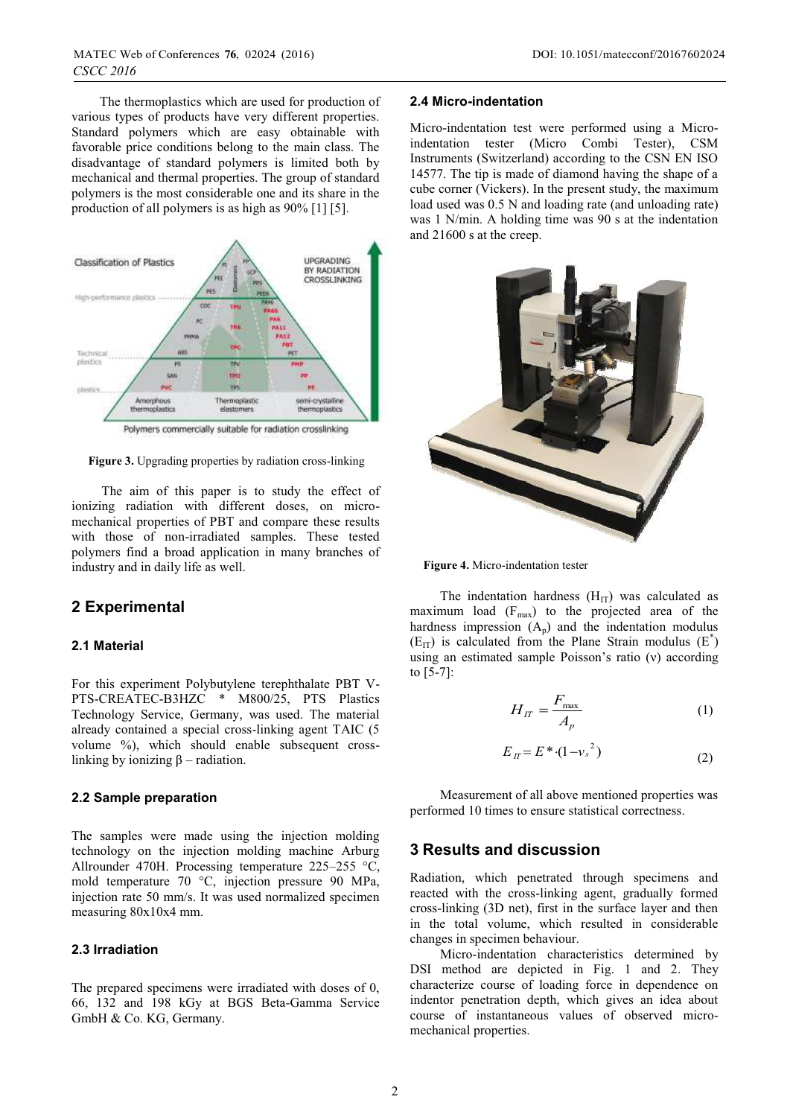The thermoplastics which are used for production of various types of products have very different properties. Standard polymers which are easy obtainable with favorable price conditions belong to the main class. The disadvantage of standard polymers is limited both by mechanical and thermal properties. The group of standard polymers is the most considerable one and its share in the production of all polymers is as high as 90% [1] [5].



**Figure 3.** Upgrading properties by radiation cross-linking

The aim of this paper is to study the effect of ionizing radiation with different doses, on micromechanical properties of PBT and compare these results with those of non-irradiated samples. These tested polymers find a broad application in many branches of industry and in daily life as well.

# **2 Experimental**

#### **2.1 Material**

For this experiment Polybutylene terephthalate PBT V-PTS-CREATEC-B3HZC \* M800/25, PTS Plastics Technology Service, Germany, was used. The material already contained a special cross-linking agent TAIC (5 volume %), which should enable subsequent crosslinking by ionizing  $β$  – radiation.

# **2.2 Sample preparation**

The samples were made using the injection molding technology on the injection molding machine Arburg Allrounder 470H. Processing temperature 225–255 °C, mold temperature 70 °C, injection pressure 90 MPa, injection rate 50 mm/s. It was used normalized specimen measuring 80x10x4 mm.

### **2.3 Irradiation**

The prepared specimens were irradiated with doses of 0, 66, 132 and 198 kGy at BGS Beta-Gamma Service GmbH & Co. KG, Germany.

#### **2.4 Micro-indentation**

Micro-indentation test were performed using a Microindentation tester (Micro Combi Tester), CSM Instruments (Switzerland) according to the CSN EN ISO 14577. The tip is made of diamond having the shape of a cube corner (Vickers). In the present study, the maximum load used was 0.5 N and loading rate (and unloading rate) was 1 N/min. A holding time was 90 s at the indentation and 21600 s at the creep.



**Figure 4.** Micro-indentation tester

The indentation hardness  $(H_{IT})$  was calculated as maximum load  $(F_{max})$  to the projected area of the hardness impression  $(A_p)$  and the indentation modulus  $(E_{IT})$  is calculated from the Plane Strain modulus  $(E^*)$ using an estimated sample Poisson's ratio (ν) according to [5-7]:

$$
H_{IT} = \frac{F_{\text{max}}}{A_p} \tag{1}
$$

$$
E_{\text{H}} = E^* \cdot (1 - v_s^2) \tag{2}
$$

Measurement of all above mentioned properties was performed 10 times to ensure statistical correctness.

# **3 Results and discussion**

Radiation, which penetrated through specimens and reacted with the cross-linking agent, gradually formed cross-linking (3D net), first in the surface layer and then in the total volume, which resulted in considerable changes in specimen behaviour.

Micro-indentation characteristics determined by DSI method are depicted in Fig. 1 and 2. They characterize course of loading force in dependence on indentor penetration depth, which gives an idea about course of instantaneous values of observed micromechanical properties.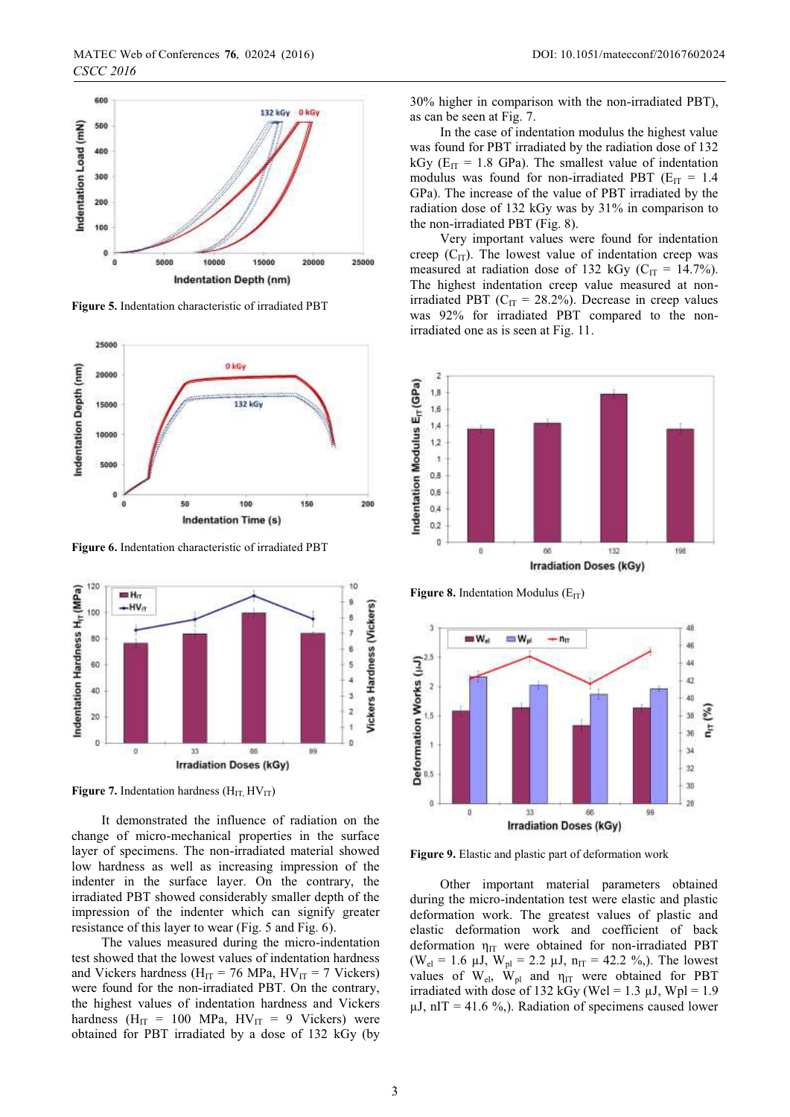

**Figure 5.** Indentation characteristic of irradiated PBT



**Figure 6.** Indentation characteristic of irradiated PBT



**Figure 7.** Indentation hardness  $(H_{IT}, HV_{IT})$ 

It demonstrated the influence of radiation on the change of micro-mechanical properties in the surface layer of specimens. The non-irradiated material showed low hardness as well as increasing impression of the indenter in the surface layer. On the contrary, the irradiated PBT showed considerably smaller depth of the impression of the indenter which can signify greater resistance of this layer to wear (Fig. 5 and Fig. 6).

The values measured during the micro-indentation test showed that the lowest values of indentation hardness and Vickers hardness ( $H_{IT}$  = 76 MPa,  $HV_{IT}$  = 7 Vickers) were found for the non-irradiated PBT. On the contrary, the highest values of indentation hardness and Vickers hardness ( $H_{IT}$  = 100 MPa,  $HV_{IT}$  = 9 Vickers) were obtained for PBT irradiated by a dose of 132 kGy (by

30% higher in comparison with the non-irradiated PBT), as can be seen at Fig. 7.

In the case of indentation modulus the highest value was found for PBT irradiated by the radiation dose of 132 kGy ( $E_{IT}$  = 1.8 GPa). The smallest value of indentation modulus was found for non-irradiated PBT ( $E_{IT}$  = 1.4 GPa). The increase of the value of PBT irradiated by the radiation dose of 132 kGy was by 31% in comparison to the non-irradiated PBT (Fig. 8).

Very important values were found for indentation creep  $(C_{IT})$ . The lowest value of indentation creep was measured at radiation dose of 132 kGy ( $C_{IT}$  = 14.7%). The highest indentation creep value measured at nonirradiated PBT ( $C_{IT}$  = 28.2%). Decrease in creep values was 92% for irradiated PBT compared to the nonirradiated one as is seen at Fig. 11.



**Figure 8.** Indentation Modulus  $(E_{IT})$ 



**Figure 9.** Elastic and plastic part of deformation work

Other important material parameters obtained during the micro-indentation test were elastic and plastic deformation work. The greatest values of plastic and elastic deformation work and coefficient of back deformation  $\eta_{IT}$  were obtained for non-irradiated PBT (W<sub>el</sub> = 1.6  $\mu$ J, W<sub>pl</sub> = 2.2  $\mu$ J, n<sub>IT</sub> = 42.2 %,). The lowest values of  $W_{el}$ ,  $W_{pl}$  and  $\eta_{IT}$  were obtained for PBT irradiated with dose of 132 kGy (Wel = 1.3  $\mu$ J, Wpl = 1.9  $\mu$ J, nIT = 41.6 %,). Radiation of specimens caused lower